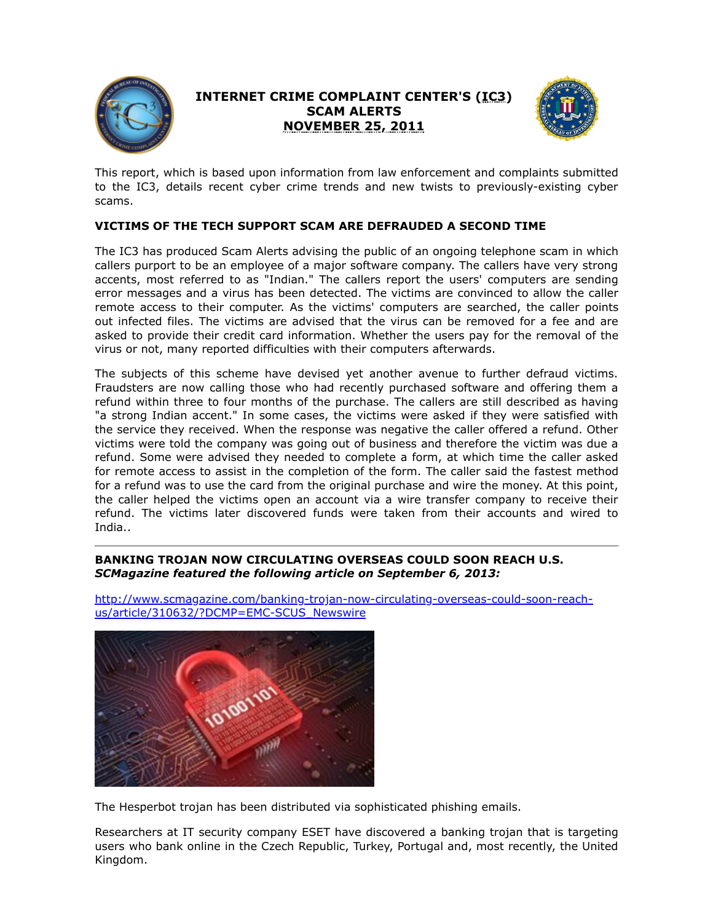

## **INTERNET CRIME COMPLAINT CENTER'S (IC3) SCAM ALERTS NOVEMBER 25, 2011**



This report, which is based upon information from law enforcement and complaints submitted to the IC3, details recent cyber crime trends and new twists to previously-existing cyber scams.

## **VICTIMS OF THE TECH SUPPORT SCAM ARE DEFRAUDED A SECOND TIME**

The IC3 has produced Scam Alerts advising the public of an ongoing telephone scam in which callers purport to be an employee of a major software company. The callers have very strong accents, most referred to as "Indian." The callers report the users' computers are sending error messages and a virus has been detected. The victims are convinced to allow the caller remote access to their computer. As the victims' computers are searched, the caller points out infected files. The victims are advised that the virus can be removed for a fee and are asked to provide their credit card information. Whether the users pay for the removal of the virus or not, many reported difficulties with their computers afterwards.

The subjects of this scheme have devised yet another avenue to further defraud victims. Fraudsters are now calling those who had recently purchased software and offering them a refund within three to four months of the purchase. The callers are still described as having "a strong Indian accent." In some cases, the victims were asked if they were satisfied with the service they received. When the response was negative the caller offered a refund. Other victims were told the company was going out of business and therefore the victim was due a refund. Some were advised they needed to complete a form, at which time the caller asked for remote access to assist in the completion of the form. The caller said the fastest method for a refund was to use the card from the original purchase and wire the money. At this point, the caller helped the victims open an account via a wire transfer company to receive their refund. The victims later discovered funds were taken from their accounts and wired to India..

### **BANKING TROJAN NOW CIRCULATING OVERSEAS COULD SOON REACH U.S.** *SCMagazine featured the following article on September 6, 2013:*



[http://www.scmagazine.com/banking-trojan-now-circulating-overseas-could-soon-reach](https://www.ic3.gov/egress.aspx?u=http%3a%2f%2fwww.scmagazine.com%2fbanking-trojan-now-circulating-overseas-could-soon-reach-us%2farticle%2f310632%2f%3fDCMP%3dEMC-SCUS_Newswire&h=8F210785A775F67E0AFB79F5529ECACCB97B4A1DD0926B6538401912431C0491)us/article/310632/?DCMP=EMC-SCUS\_Newswire

The Hesperbot trojan has been distributed via sophisticated phishing emails.

Researchers at IT security company ESET have discovered a banking trojan that is targeting users who bank online in the Czech Republic, Turkey, Portugal and, most recently, the United Kingdom.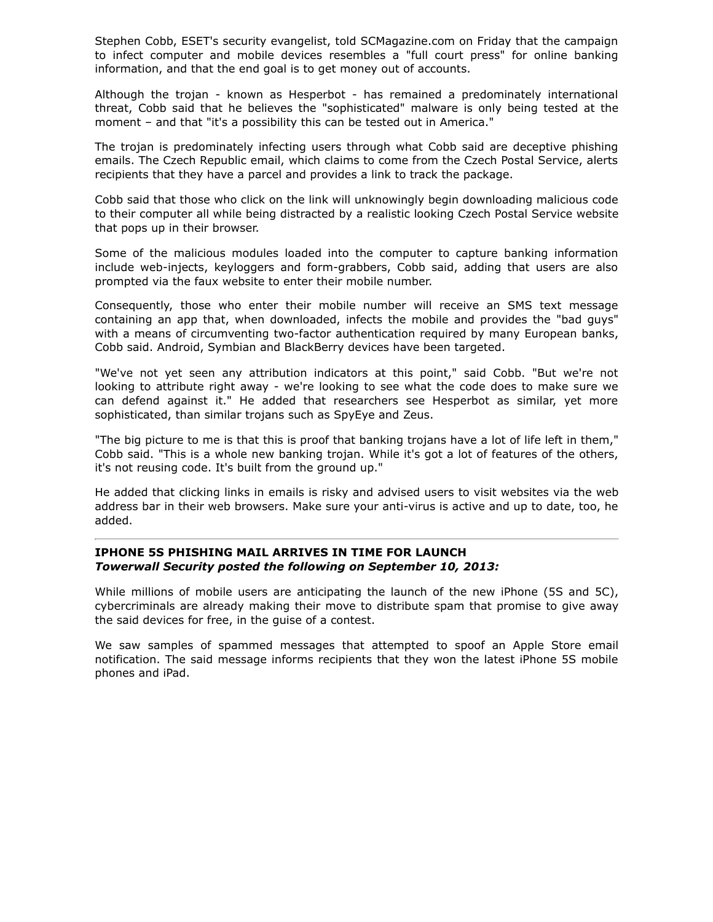Stephen Cobb, ESET's security evangelist, told SCMagazine.com on Friday that the campaign to infect computer and mobile devices resembles a "full court press" for online banking information, and that the end goal is to get money out of accounts.

Although the trojan - known as Hesperbot - has remained a predominately international threat, Cobb said that he believes the "sophisticated" malware is only being tested at the moment – and that "it's a possibility this can be tested out in America."

The trojan is predominately infecting users through what Cobb said are deceptive phishing emails. The Czech Republic email, which claims to come from the Czech Postal Service, alerts recipients that they have a parcel and provides a link to track the package.

Cobb said that those who click on the link will unknowingly begin downloading malicious code to their computer all while being distracted by a realistic looking Czech Postal Service website that pops up in their browser.

Some of the malicious modules loaded into the computer to capture banking information include web-injects, keyloggers and form-grabbers, Cobb said, adding that users are also prompted via the faux website to enter their mobile number.

Consequently, those who enter their mobile number will receive an SMS text message containing an app that, when downloaded, infects the mobile and provides the "bad guys" with a means of circumventing two-factor authentication required by many European banks, Cobb said. Android, Symbian and BlackBerry devices have been targeted.

"We've not yet seen any attribution indicators at this point," said Cobb. "But we're not looking to attribute right away - we're looking to see what the code does to make sure we can defend against it." He added that researchers see Hesperbot as similar, yet more sophisticated, than similar trojans such as SpyEye and Zeus.

"The big picture to me is that this is proof that banking trojans have a lot of life left in them," Cobb said. "This is a whole new banking trojan. While it's got a lot of features of the others, it's not reusing code. It's built from the ground up."

He added that clicking links in emails is risky and advised users to visit websites via the web address bar in their web browsers. Make sure your anti-virus is active and up to date, too, he added.

#### **IPHONE 5S PHISHING MAIL ARRIVES IN TIME FOR LAUNCH** *Towerwall Security posted the following on September 10, 2013:*

While millions of mobile users are anticipating the launch of the new iPhone (5S and 5C), cybercriminals are already making their move to distribute spam that promise to give away the said devices for free, in the guise of a contest.

We saw samples of spammed messages that attempted to spoof an Apple Store email notification. The said message informs recipients that they won the latest iPhone 5S mobile phones and iPad.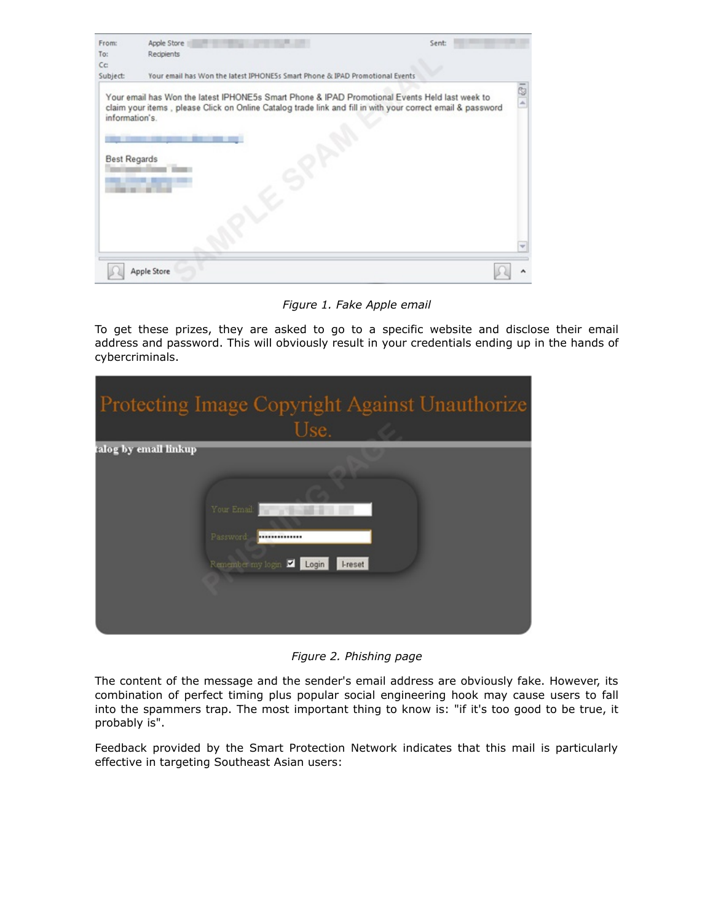| From:               | Apple Store<br>Sent:                                                                                                                                                                                         |    |
|---------------------|--------------------------------------------------------------------------------------------------------------------------------------------------------------------------------------------------------------|----|
| To:                 | Recipients                                                                                                                                                                                                   |    |
| C <sub>C</sub>      |                                                                                                                                                                                                              |    |
| Subject:            | Your email has Won the latest IPHONE5s Smart Phone & IPAD Promotional Events                                                                                                                                 |    |
| information's.      | Your email has Won the latest IPHONE5s Smart Phone & IPAD Promotional Events Held last week to<br>claim your items, please Click on Online Catalog trade link and fill in with your correct email & password | C. |
| <b>Best Regards</b> |                                                                                                                                                                                                              |    |
|                     |                                                                                                                                                                                                              |    |
|                     |                                                                                                                                                                                                              |    |
|                     |                                                                                                                                                                                                              |    |
|                     |                                                                                                                                                                                                              |    |

*Figure 1. Fake Apple email*

To get these prizes, they are asked to go to a specific website and disclose their email address and password. This will obviously result in your credentials ending up in the hands of cybercriminals.

|                       | Protecting Image Copyright Against Unauthorize<br>Use.                      |
|-----------------------|-----------------------------------------------------------------------------|
| talog by email linkup | Your Email:<br>Password:<br><br>Remember my login V Login<br><b>I-reset</b> |

*Figure 2. Phishing page*

The content of the message and the sender's email address are obviously fake. However, its combination of perfect timing plus popular social engineering hook may cause users to fall into the spammers trap. The most important thing to know is: "if it's too good to be true, it probably is".

Feedback provided by the Smart Protection Network indicates that this mail is particularly effective in targeting Southeast Asian users: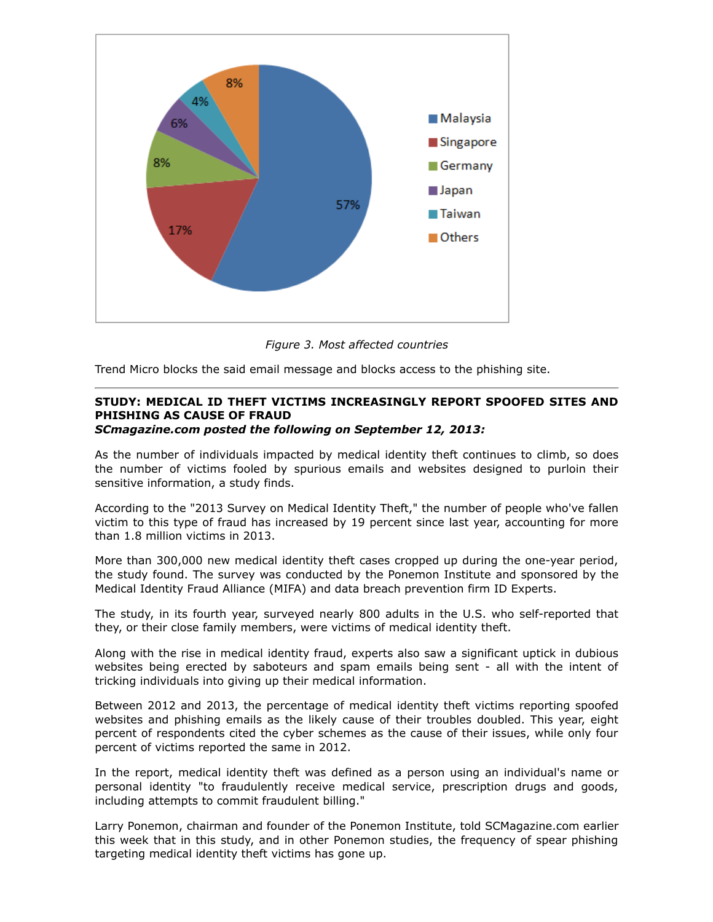

*Figure 3. Most affected countries*

Trend Micro blocks the said email message and blocks access to the phishing site.

# **STUDY: MEDICAL ID THEFT VICTIMS INCREASINGLY REPORT SPOOFED SITES AND PHISHING AS CAUSE OF FRAUD**

*SCmagazine.com posted the following on September 12, 2013:*

As the number of individuals impacted by medical identity theft continues to climb, so does the number of victims fooled by spurious emails and websites designed to purloin their sensitive information, a study finds.

According to the "2013 Survey on Medical Identity Theft," the number of people who've fallen victim to this type of fraud has increased by 19 percent since last year, accounting for more than 1.8 million victims in 2013.

More than 300,000 new medical identity theft cases cropped up during the one-year period, the study found. The survey was conducted by the Ponemon Institute and sponsored by the Medical Identity Fraud Alliance (MIFA) and data breach prevention firm ID Experts.

The study, in its fourth year, surveyed nearly 800 adults in the U.S. who self-reported that they, or their close family members, were victims of medical identity theft.

Along with the rise in medical identity fraud, experts also saw a significant uptick in dubious websites being erected by saboteurs and spam emails being sent - all with the intent of tricking individuals into giving up their medical information.

Between 2012 and 2013, the percentage of medical identity theft victims reporting spoofed websites and phishing emails as the likely cause of their troubles doubled. This year, eight percent of respondents cited the cyber schemes as the cause of their issues, while only four percent of victims reported the same in 2012.

In the report, medical identity theft was defined as a person using an individual's name or personal identity "to fraudulently receive medical service, prescription drugs and goods, including attempts to commit fraudulent billing."

Larry Ponemon, chairman and founder of the Ponemon Institute, told SCMagazine.com earlier this week that in this study, and in other Ponemon studies, the frequency of spear phishing targeting medical identity theft victims has gone up.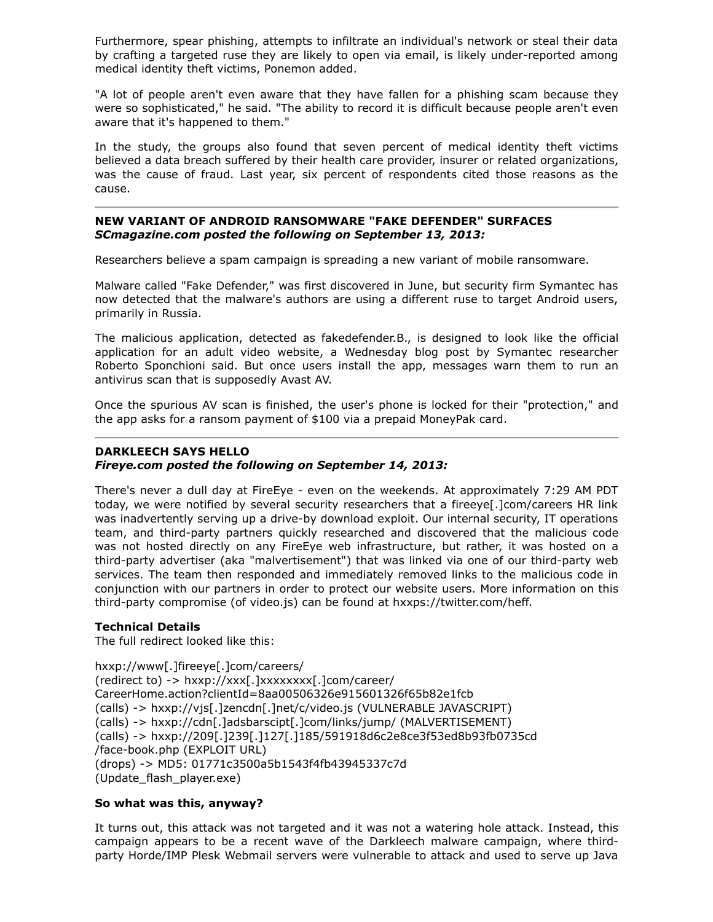Furthermore, spear phishing, attempts to infiltrate an individual's network or steal their data by crafting a targeted ruse they are likely to open via email, is likely under-reported among medical identity theft victims, Ponemon added.

"A lot of people aren't even aware that they have fallen for a phishing scam because they were so sophisticated," he said. "The ability to record it is difficult because people aren't even aware that it's happened to them."

In the study, the groups also found that seven percent of medical identity theft victims believed a data breach suffered by their health care provider, insurer or related organizations, was the cause of fraud. Last year, six percent of respondents cited those reasons as the cause.

#### **NEW VARIANT OF ANDROID RANSOMWARE "FAKE DEFENDER" SURFACES** *SCmagazine.com posted the following on September 13, 2013:*

Researchers believe a spam campaign is spreading a new variant of mobile ransomware.

Malware called "Fake Defender," was first discovered in June, but security firm Symantec has now detected that the malware's authors are using a different ruse to target Android users, primarily in Russia.

The malicious application, detected as fakedefender.B., is designed to look like the official application for an adult video website, a Wednesday blog post by Symantec researcher Roberto Sponchioni said. But once users install the app, messages warn them to run an antivirus scan that is supposedly Avast AV.

Once the spurious AV scan is finished, the user's phone is locked for their "protection," and the app asks for a ransom payment of \$100 via a prepaid MoneyPak card.

#### **DARKLEECH SAYS HELLO**

#### *Fireye.com posted the following on September 14, 2013:*

There's never a dull day at FireEye - even on the weekends. At approximately 7:29 AM PDT today, we were notified by several security researchers that a fireeye[.]com/careers HR link was inadvertently serving up a drive-by download exploit. Our internal security, IT operations team, and third-party partners quickly researched and discovered that the malicious code was not hosted directly on any FireEye web infrastructure, but rather, it was hosted on a third-party advertiser (aka "malvertisement") that was linked via one of our third-party web services. The team then responded and immediately removed links to the malicious code in conjunction with our partners in order to protect our website users. More information on this third-party compromise (of video.js) can be found at hxxps://twitter.com/heff.

#### **Technical Details**

The full redirect looked like this:

hxxp://www[.]fireeye[.]com/careers/ (redirect to) -> hxxp://xxx[.]xxxxxxxx[.]com/career/ CareerHome.action?clientId=8aa00506326e915601326f65b82e1fcb (calls) -> hxxp://vjs[.]zencdn[.]net/c/video.js (VULNERABLE JAVASCRIPT) (calls) -> hxxp://cdn[.]adsbarscipt[.]com/links/jump/ (MALVERTISEMENT) (calls) -> hxxp://209[.]239[.]127[.]185/591918d6c2e8ce3f53ed8b93fb0735cd /face-book.php (EXPLOIT URL) (drops) -> MD5: 01771c3500a5b1543f4fb43945337c7d (Update\_flash\_player.exe)

#### **So what was this, anyway?**

It turns out, this attack was not targeted and it was not a watering hole attack. Instead, this campaign appears to be a recent wave of the Darkleech malware campaign, where thirdparty Horde/IMP Plesk Webmail servers were vulnerable to attack and used to serve up Java